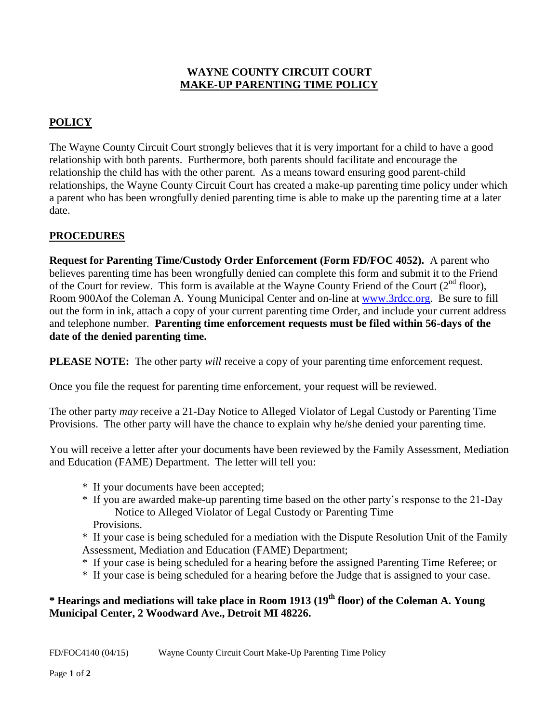#### **WAYNE COUNTY CIRCUIT COURT MAKE-UP PARENTING TIME POLICY**

# **POLICY**

The Wayne County Circuit Court strongly believes that it is very important for a child to have a good relationship with both parents. Furthermore, both parents should facilitate and encourage the relationship the child has with the other parent. As a means toward ensuring good parent-child relationships, the Wayne County Circuit Court has created a make-up parenting time policy under which a parent who has been wrongfully denied parenting time is able to make up the parenting time at a later date.

## **PROCEDURES**

**Request for Parenting Time/Custody Order Enforcement (Form FD/FOC 4052).** A parent who believes parenting time has been wrongfully denied can complete this form and submit it to the Friend of the Court for review. This form is available at the Wayne County Friend of the Court  $(2^{nd}$  floor), Room 900Aof the Coleman A. Young Municipal Center and on-line at [www.3rdcc.org.](http://www.3rdcc.org/) Be sure to fill out the form in ink, attach a copy of your current parenting time Order, and include your current address and telephone number. **Parenting time enforcement requests must be filed within 56-days of the date of the denied parenting time.**

**PLEASE NOTE:** The other party *will* receive a copy of your parenting time enforcement request.

Once you file the request for parenting time enforcement, your request will be reviewed.

The other party *may* receive a 21-Day Notice to Alleged Violator of Legal Custody or Parenting Time Provisions. The other party will have the chance to explain why he/she denied your parenting time.

You will receive a letter after your documents have been reviewed by the Family Assessment, Mediation and Education (FAME) Department. The letter will tell you:

- \*If your documents have been accepted;
- \* If you are awarded make-up parenting time based on the other party's response to the 21-Day Notice to Alleged Violator of Legal Custody or Parenting Time Provisions.
- \* If your case is being scheduled for a mediation with the Dispute Resolution Unit of the Family Assessment, Mediation and Education (FAME) Department;
- \* If your case is being scheduled for a hearing before the assigned Parenting Time Referee; or
- \* If your case is being scheduled for a hearing before the Judge that is assigned to your case.

## **\* Hearings and mediations will take place in Room 1913 (19th floor) of the Coleman A. Young Municipal Center, 2 Woodward Ave., Detroit MI 48226.**